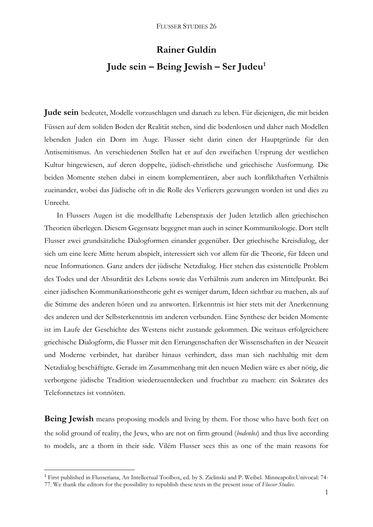## **Rainer Guldin Jude sein – Being Jewish – Ser Judeu<sup>1</sup>**

**Jude sein** bedeutet, Modelle vorzuschlagen und danach zu leben. Für diejenigen, die mit beiden Füssen auf dem soliden Boden der Realität stehen, sind die bodenlosen und daher nach Modellen lebenden Juden ein Dorn im Auge. Flusser sieht darin einen der Hauptgründe für den Antisemitismus. An verschiedenen Stellen hat er auf den zweifachen Ursprung der westlichen Kultur hingewiesen, auf deren doppelte, jüdisch-christliche und griechische Ausformung. Die beiden Momente stehen dabei in einem komplementären, aber auch konflikthaften Verhältnis zueinander, wobei das Jüdische oft in die Rolle des Verlierers gezwungen worden ist und dies zu Unrecht.

In Flussers Augen ist die modellhafte Lebenspraxis der Juden letztlich allen griechischen Theorien überlegen. Diesem Gegensatz begegnet man auch in seiner Kommunikologie. Dort stellt Flusser zwei grundsätzliche Dialogformen einander gegenüber. Der griechische Kreisdialog, der sich um eine leere Mitte herum abspielt, interessiert sich vor allem für die Theorie, für Ideen und neue Informationen. Ganz anders der jüdische Netzdialog. Hier stehen das existentielle Problem des Todes und der Absurdität des Lebens sowie das Verhältnis zum anderen im Mittelpunkt. Bei einer jüdischen Kommunikationstheorie geht es weniger darum, Ideen sichtbar zu machen, als auf die Stimme des anderen hören und zu antworten. Erkenntnis ist hier stets mit der Anerkennung des anderen und der Selbsterkenntnis im anderen verbunden. Eine Synthese der beiden Momente ist im Laufe der Geschichte des Westens nicht zustande gekommen. Die weitaus erfolgreichere griechische Dialogform, die Flusser mit den Errungenschaften der Wissenschaften in der Neuzeit und Moderne verbindet, hat darüber hinaus verhindert, dass man sich nachhaltig mit dem Netzdialog beschäftigte. Gerade im Zusammenhang mit den neuen Medien wäre es aber nötig, die verborgene jüdische Tradition wiederzuentdecken und fruchtbar zu machen: ein Sokrates des Telefonnetzes ist vonnöten.

**Being Jewish** means proposing models and living by them. For those who have both feet on the solid ground of reality, the Jews, who are not on firm ground (*bodenlos*) and thus live according to models, are a thorn in their side. Vilém Flusser sees this as one of the main reasons for

 $\overline{a}$ 

<sup>1</sup> First published in Flusseriana, An Intellectual Toolbox, ed. by S. Zielinski and P. Weibel. Minneapolis:Univocal: 74- 77. We thank the editors for the possibility to republish these texts in the present issue of *Flusser Studies*.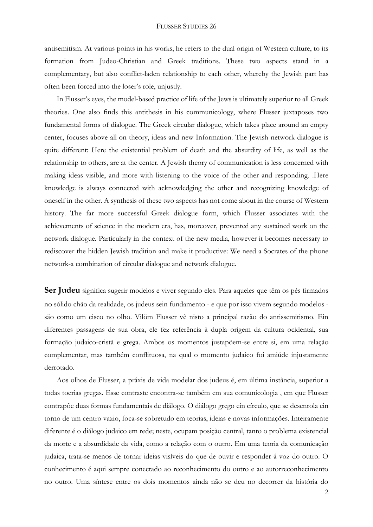## FLUSSER STUDIES 26

antisemitism. At various points in his works, he refers to the dual origin of Western culture, to its formation from Judeo-Christian and Greek traditions. These two aspects stand in a complementary, but also conflict-laden relationship to each other, whereby the Jewish part has often been forced into the loser's role, unjustly.

In Flusser's eyes, the model-based practice of life of the Jews is ultimately superior to all Greek theories. One also finds this antithesis in his communicology, where Flusser juxtaposes two fundamental forms of dialogue. The Greek circular dialogue, which takes place around an empty center, focuses above all on theory, ideas and new Information. The Jewish network dialogue is quite different: Here the existential problem of death and the absurdity of life, as well as the relationship to others, are at the center. A Jewish theory of communication is less concerned with making ideas visible, and more with listening to the voice of the other and responding. .Here knowledge is always connected with acknowledging the other and recognizing knowledge of oneself in the other. A synthesis of these two aspects has not come about in the course of Western history. The far more successful Greek dialogue form, which Flusser associates with the achievements of science in the modern era, has, moreover, prevented any sustained work on the network dialogue. Particularly in the context of the new media, however it becomes necessary to rediscover the hidden Jewish tradition and make it productive: We need a Socrates of the phone network-a combination of circular dialogue and network dialogue.

Ser Judeu significa sugerir modelos e viver segundo eles. Para aqueles que têm os pés firmados no sólido chão da realidade, os judeus sein fundamento - e que por isso vivem segundo modelos säo como um cisco no olho. Vilöm Flusser vê nisto a principal razäo do antissemitismo. Ein diferentes passagens de sua obra, ele fez referência à dupla origem da cultura ocidental, sua formação judaico-cristã e grega. Ambos os momentos justapõem-se entre si, em uma relação complementar, mas também conflituosa, na qual o momento judaico foi amiúde injustamente derrotado.

Aos olhos de Flusser, a práxis de vida modelar dos judeus é, em última instância, superior a todas toerias gregas. Esse contraste encontra-se também em sua comunicologia , em que Flusser contrapõe duas formas fundamentais de diálogo. O diálogo grego ein círculo, que se desenrola ein torno de um centro vazio, foca-se sobretudo em teorias, ideias e novas informações. Inteiramente diferente é o diálogo judaico em rede; neste, ocupam posição central, tanto o problema existencial da morte e a absurdidade da vida, como a relação com o outro. Em uma teoria da comunicação judaica, trata-se menos de tornar ideias visíveis do que de ouvir e responder á voz do outro. O conhecimento é aqui sempre conectado ao reconhecimento do outro e ao autorreconhecimento no outro. Uma síntese entre os dois momentos ainda não se deu no decorrer da história do

2